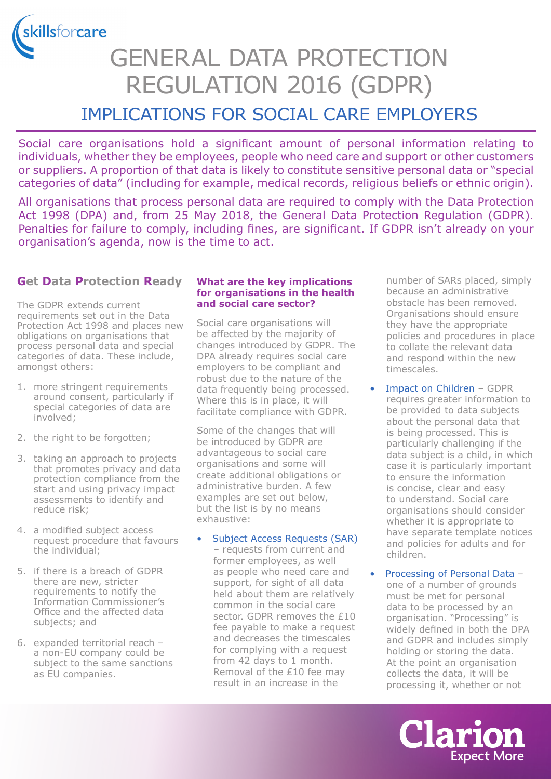skillsforcare

# GENERAL DATA PROTECTION REGULATION 2016 (GDPR)

# IMPLICATIONS FOR SOCIAL CARE EMPLOYERS

Social care organisations hold a significant amount of personal information relating to individuals, whether they be employees, people who need care and support or other customers or suppliers. A proportion of that data is likely to constitute sensitive personal data or "special categories of data" (including for example, medical records, religious beliefs or ethnic origin).

All organisations that process personal data are required to comply with the Data Protection Act 1998 (DPA) and, from 25 May 2018, the General Data Protection Regulation (GDPR). Penalties for failure to comply, including fines, are significant. If GDPR isn't already on your organisation's agenda, now is the time to act.

### **Get Data Protection Ready**

The GDPR extends current requirements set out in the Data Protection Act 1998 and places new obligations on organisations that process personal data and special categories of data. These include, amongst others:

- 1. more stringent requirements around consent, particularly if special categories of data are involved;
- 2. the right to be forgotten;
- 3. taking an approach to projects that promotes privacy and data protection compliance from the start and using privacy impact assessments to identify and reduce risk;
- 4. a modified subject access request procedure that favours the individual;
- 5. if there is a breach of GDPR there are new, stricter requirements to notify the Information Commissioner's Office and the affected data subjects; and
- 6. expanded territorial reach a non-EU company could be subject to the same sanctions as EU companies.

#### **What are the key implications for organisations in the health and social care sector?**

Social care organisations will be affected by the majority of changes introduced by GDPR. The DPA already requires social care employers to be compliant and robust due to the nature of the data frequently being processed. Where this is in place, it will facilitate compliance with GDPR.

Some of the changes that will be introduced by GDPR are advantageous to social care organisations and some will create additional obligations or administrative burden. A few examples are set out below, but the list is by no means exhaustive:

#### Subject Access Requests (SAR)

– requests from current and former employees, as well as people who need care and support, for sight of all data held about them are relatively common in the social care sector. GDPR removes the £10 fee payable to make a request and decreases the timescales for complying with a request from 42 days to 1 month. Removal of the £10 fee may result in an increase in the

number of SARs placed, simply because an administrative obstacle has been removed. Organisations should ensure they have the appropriate policies and procedures in place to collate the relevant data and respond within the new timescales.

- Impact on Children GDPR requires greater information to be provided to data subjects about the personal data that is being processed. This is particularly challenging if the data subject is a child, in which case it is particularly important to ensure the information is concise, clear and easy to understand. Social care organisations should consider whether it is appropriate to have separate template notices and policies for adults and for children.
- Processing of Personal Data one of a number of grounds must be met for personal data to be processed by an organisation. "Processing" is widely defined in both the DPA and GDPR and includes simply holding or storing the data. At the point an organisation collects the data, it will be processing it, whether or not